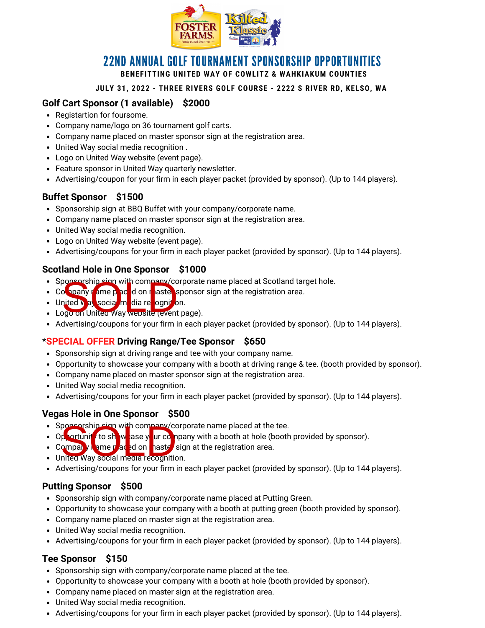

## 22ND ANNUAL GOLF TOURNAMENT SPONSORSHIP OPPORTUNITIES **BENEFITTING UNITED WAY OF COWLITZ & WAHKIAKUM COUNTIES**

#### **JULY 31, 2022 - THREE RIVERS GOLF COURSE - 2222 S RIVER RD, KELSO, WA**

## **Golf Cart Sponsor (1 available) \$2000**

- Registartion for foursome.
- Company name/logo on 36 tournament golf carts.
- Company name placed on master sponsor sign at the registration area.
- United Way social media recognition .
- Logo on United Way website (event page).
- Feature sponsor in United Way quarterly newsletter.
- Advertising/coupon for your firm in each player packet (provided by sponsor). (Up to 144 players).

#### **Buffet Sponsor \$1500**

- Sponsorship sign at BBQ Buffet with your company/corporate name.
- Company name placed on master sponsor sign at the registration area.
- United Way social media recognition.
- Logo on United Way website (event page).
- Advertising/coupons for your firm in each player packet (provided by sponsor). (Up to 144 players).

### **Scotland Hole in One Sponsor \$1000**

- Sponsorship eign with company/corporate name placed at Scotland target hole.
- Company mame placed on master sponsor sign at the registration area. popeorship eign with company/co<br>prited V all social in dia religions<br>prited V all social in dia religions of
- United **Way social media recognitio**n.
- Logo on United Way website (event page).
- Advertising/coupons for your firm in each player packet (provided by sponsor). (Up to 144 players).

#### \***SPECIAL OFFER Driving Range/Tee Sponsor \$650**

- Sponsorship sign at driving range and tee with your company name.
- Opportunity to showcase your company with a booth at driving range & tee. (booth provided by sponsor).
- Company name placed on master sponsor sign at the registration area.
- United Way social media recognition.
- Advertising/coupons for your firm in each player packet (provided by sponsor). (Up to 144 players).

#### **Vegas Hole in One Sponsor \$500**

- Sponsorship sign with company/corporate name placed at the tee.
- Opportunity to show ase your company with a booth at hole (booth provided by sponsor).
- Company name placed on mastel sign at the registration area. per eship tiga with company/co<br>perfunit to show ase y ur company<br>or mpany way social media recognitic
- United Way social media recognition.
- Advertising/coupons for your firm in each player packet (provided by sponsor). (Up to 144 players).

#### **Putting Sponsor \$500**

- Sponsorship sign with company/corporate name placed at Putting Green.
- Opportunity to showcase your company with a booth at putting green (booth provided by sponsor).
- Company name placed on master sign at the registration area.
- United Way social media recognition.
- Advertising/coupons for your firm in each player packet (provided by sponsor). (Up to 144 players).

## **Tee Sponsor \$150**

- Sponsorship sign with company/corporate name placed at the tee.
- Opportunity to showcase your company with a booth at hole (booth provided by sponsor).
- Company name placed on master sign at the registration area.
- United Way social media recognition.
- Advertising/coupons for your firm in each player packet (provided by sponsor). (Up to 144 players).